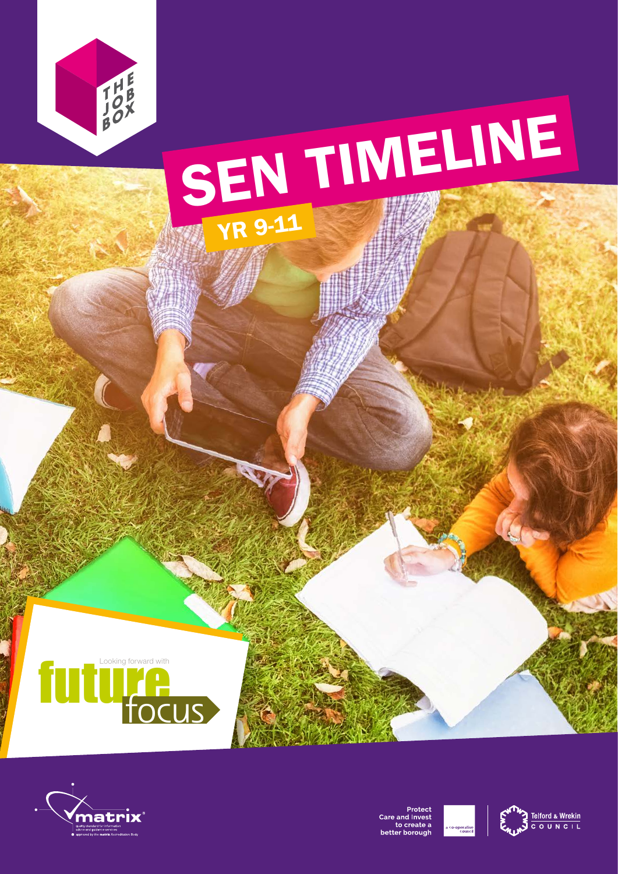

### SEN TIMELINE YR 9-11





Protect<br>Care and Invest<br>to create a better borough



Telford & Wrekin<br>C O U N C I L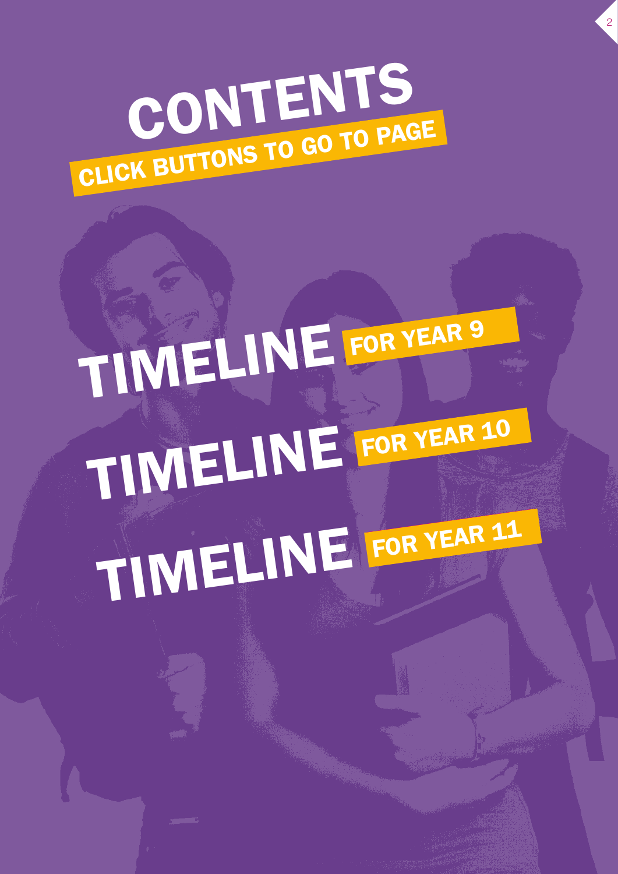

2

## TIMELINE FOR YEAR 9 TIMELINE FOR YEAR 10 TIMELINE FOR YEAR 11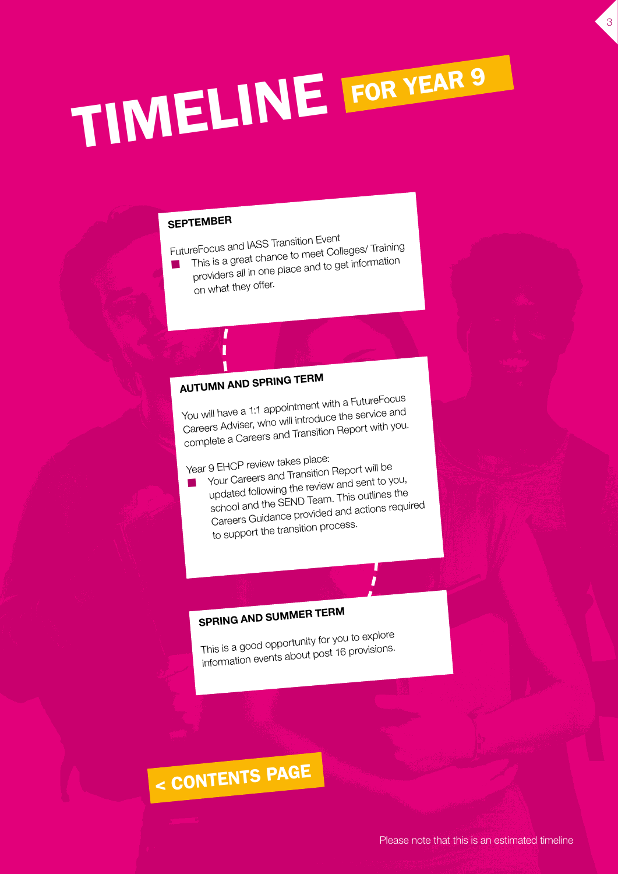# TIMELINE FOR YEAR 9

#### SEPTEMBER

FutureFocus and IASS Transition Event

- n This is a great chance to meet Colleges/ Training providers all in one place and to get information
	- on what they offer.

#### AUTUMN AND SPRING TERM

You will have a 1:1 appointment with a FutureFocus Careers Adviser, who will introduce the service and complete a Careers and Transition Report with you.

Year 9 EHCP review takes place:

n Your Careers and Transition Report will be updated following the review and sent to you, school and the SEND Team. This outlines the Careers Guidance provided and actions required to support the transition process.

#### SPRING AND SUMMER TERM

This is a good opportunity for you to explore information events about post 16 provisions.

### < CONTENTS PAGE

3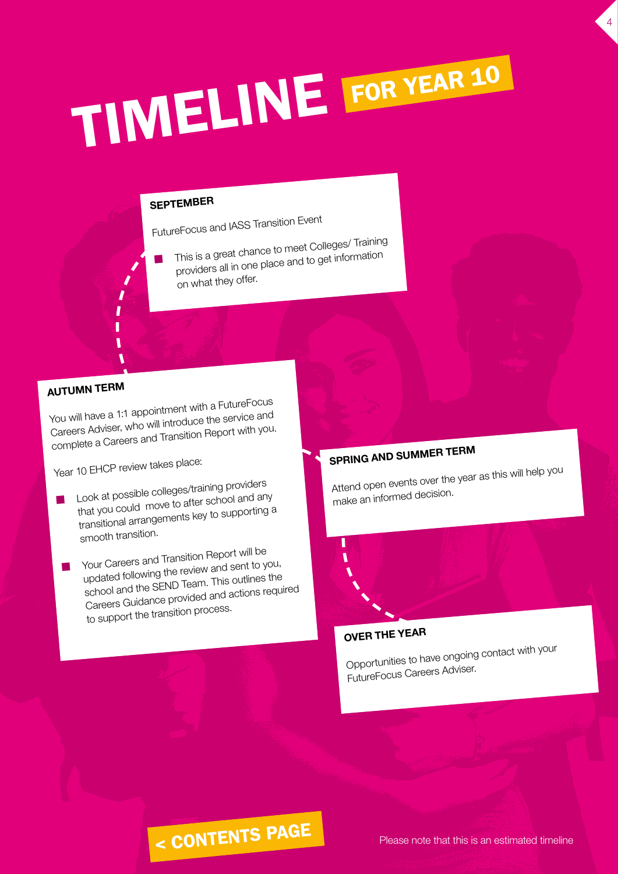# TIMELINE FOR YEAR 10

#### SEPTEMBER

n

FutureFocus and IASS Transition Event

 This is a great chance to meet Colleges/ Training providers all in one place and to get information on what they offer.

#### AUTUMN TERM

You will have a 1:1 appointment with a FutureFocus Careers Adviser, who will introduce the service and complete a Careers and Transition Report with you.

Year 10 EHCP review takes place:

- n Look at possible colleges/training providers that you could move to after school and any transitional arrangements key to supporting a smooth transition.
- n Your Careers and Transition Report will be updated following the review and sent to you, school and the SEND Team. This outlines the Careers Guidance provided and actions required to support the transition process.

#### SPRING AND SUMMER TERM

Attend open events over the year as this will help you make an informed decision.

4

#### OVER THE YEAR

Opportunities to have ongoing contact with your FutureFocus Careers Adviser.

### < CONTENTS PAGE

Please note that this is an estimated timeline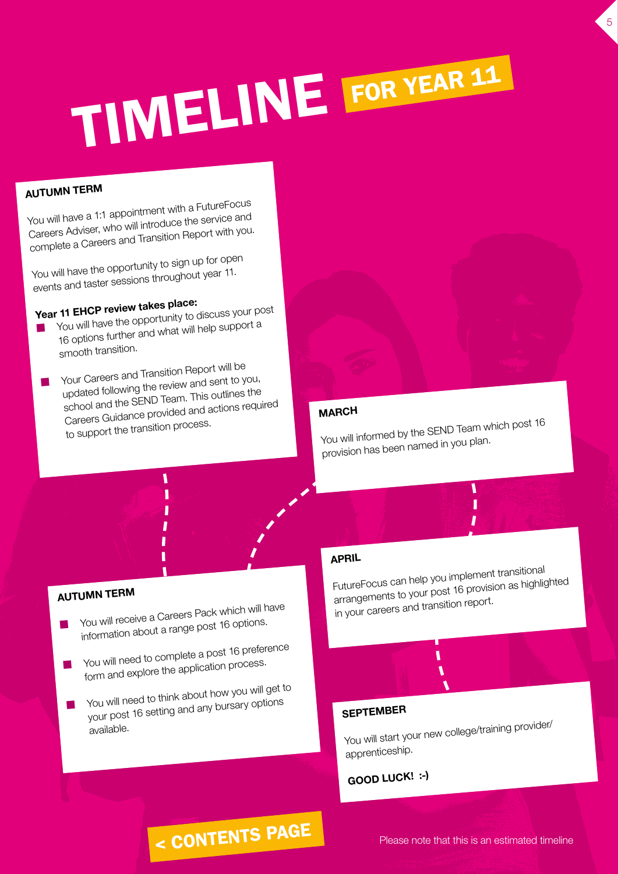# TIMELINE FOR YEAR 11

#### AUTUMN TERM

You will have a 1:1 appointment with a FutureFocus Careers Adviser, who will introduce the service and complete a Careers and Transition Report with you.

You will have the opportunity to sign up for open events and taster sessions throughout year 11.

Year 11 EHCP review takes place:

- n You will have the opportunity to discuss your post 16 options further and what will help support a smooth transition.
- n Your Careers and Transition Report will be updated following the review and sent to you, school and the SEND Team. This outlines the Careers Guidance provided and actions required to support the transition process.

#### MARCH

You will informed by the SEND Team which post 16 provision has been named in you plan.

5

#### AUTUMN TERM

- n You will receive a Careers Pack which will have information about a range post 16 options.
- n You will need to complete a post 16 preference form and explore the application process.
- n You will need to think about how you will get to your post 16 setting and any bursary options available.

#### APRIL

FutureFocus can help you implement transitional arrangements to your post 16 provision as highlighted in your careers and transition report.

١

#### SEPTEMBER

You will start your new college/training provider/ apprenticeship.

#### GOOD LUCK! :-)

### < CONTENTS PAGE

Please note that this is an estimated timeline